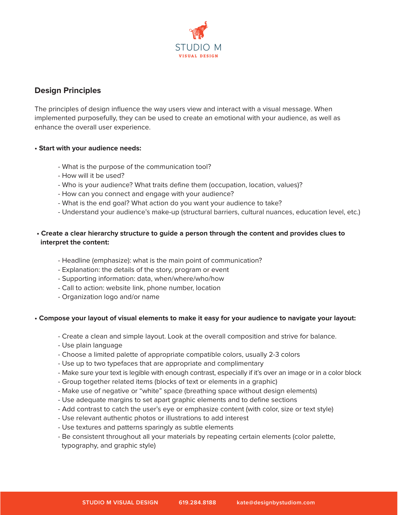

# **Design Principles**

The principles of design influence the way users view and interact with a visual message. When implemented purposefully, they can be used to create an emotional with your audience, as well as enhance the overall user experience.

#### **• Start with your audience needs:**

- What is the purpose of the communication tool?
- How will it be used?
- Who is your audience? What traits define them (occupation, location, values)?
- How can you connect and engage with your audience?
- What is the end goal? What action do you want your audience to take?
- Understand your audience's make-up (structural barriers, cultural nuances, education level, etc.)

# **• Create a clear hierarchy structure to guide a person through the content and provides clues to interpret the content:**

- Headline (emphasize): what is the main point of communication?
- Explanation: the details of the story, program or event
- Supporting information: data, when/where/who/how
- Call to action: website link, phone number, location
- Organization logo and/or name

### **• Compose your layout of visual elements to make it easy for your audience to navigate your layout:**

- Create a clean and simple layout. Look at the overall composition and strive for balance.
- Use plain language
- Choose a limited palette of appropriate compatible colors, usually 2-3 colors
- Use up to two typefaces that are appropriate and complimentary
- Make sure your text is legible with enough contrast, especially if it's over an image or in a color block
- Group together related items (blocks of text or elements in a graphic)
- Make use of negative or "white" space (breathing space without design elements)
- Use adequate margins to set apart graphic elements and to define sections
- Add contrast to catch the user's eye or emphasize content (with color, size or text style)
- Use relevant authentic photos or illustrations to add interest
- Use textures and patterns sparingly as subtle elements
- Be consistent throughout all your materials by repeating certain elements (color palette, typography, and graphic style)